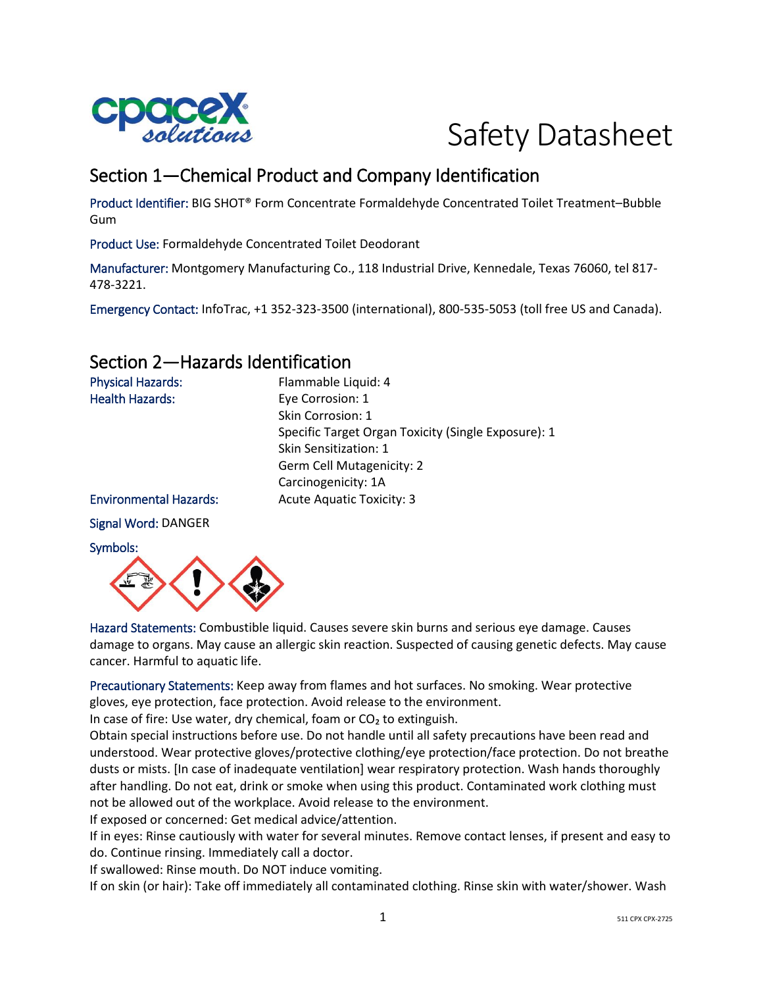

# Safety Datasheet

# Section 1—Chemical Product and Company Identification

Product Identifier: BIG SHOT® Form Concentrate Formaldehyde Concentrated Toilet Treatment–Bubble Gum

Product Use: Formaldehyde Concentrated Toilet Deodorant

Manufacturer: Montgomery Manufacturing Co., 118 Industrial Drive, Kennedale, Texas 76060, tel 817- 478-3221.

Emergency Contact: InfoTrac, +1 352-323-3500 (international), 800-535-5053 (toll free US and Canada).

### Section 2—Hazards Identification

| <b>Physical Hazards:</b>      | Flammable Liquid: 4                                 |
|-------------------------------|-----------------------------------------------------|
| <b>Health Hazards:</b>        | Eye Corrosion: 1                                    |
|                               | Skin Corrosion: 1                                   |
|                               | Specific Target Organ Toxicity (Single Exposure): 1 |
|                               | <b>Skin Sensitization: 1</b>                        |
|                               | <b>Germ Cell Mutagenicity: 2</b>                    |
|                               | Carcinogenicity: 1A                                 |
| <b>Environmental Hazards:</b> | <b>Acute Aquatic Toxicity: 3</b>                    |
| <b>Signal Word: DANGER</b>    |                                                     |
| المتمالح والمستردم            |                                                     |



Hazard Statements: Combustible liquid. Causes severe skin burns and serious eye damage. Causes damage to organs. May cause an allergic skin reaction. Suspected of causing genetic defects. May cause cancer. Harmful to aquatic life.

Precautionary Statements: Keep away from flames and hot surfaces. No smoking. Wear protective gloves, eye protection, face protection. Avoid release to the environment.

In case of fire: Use water, dry chemical, foam or CO<sub>2</sub> to extinguish.

Obtain special instructions before use. Do not handle until all safety precautions have been read and understood. Wear protective gloves/protective clothing/eye protection/face protection. Do not breathe dusts or mists. [In case of inadequate ventilation] wear respiratory protection. Wash hands thoroughly after handling. Do not eat, drink or smoke when using this product. Contaminated work clothing must not be allowed out of the workplace. Avoid release to the environment.

If exposed or concerned: Get medical advice/attention.

If in eyes: Rinse cautiously with water for several minutes. Remove contact lenses, if present and easy to do. Continue rinsing. Immediately call a doctor.

If swallowed: Rinse mouth. Do NOT induce vomiting.

If on skin (or hair): Take off immediately all contaminated clothing. Rinse skin with water/shower. Wash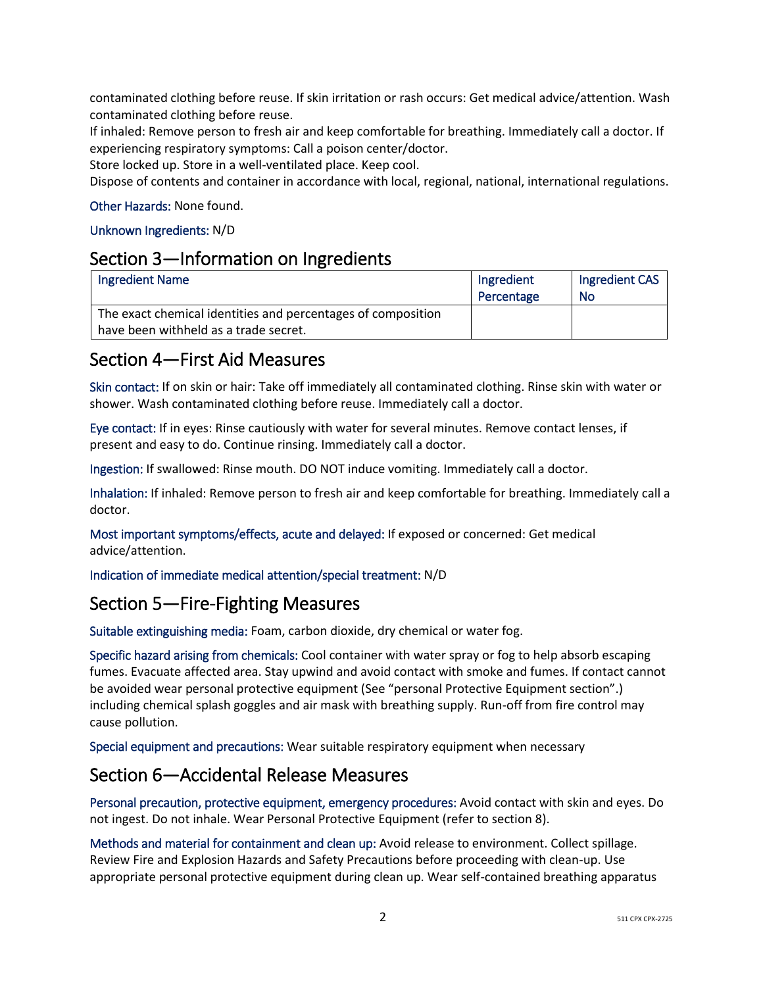contaminated clothing before reuse. If skin irritation or rash occurs: Get medical advice/attention. Wash contaminated clothing before reuse.

If inhaled: Remove person to fresh air and keep comfortable for breathing. Immediately call a doctor. If experiencing respiratory symptoms: Call a poison center/doctor.

Store locked up. Store in a well-ventilated place. Keep cool.

Dispose of contents and container in accordance with local, regional, national, international regulations.

#### Other Hazards: None found.

#### Unknown Ingredients: N/D

#### Section 3—Information on Ingredients

| <b>Ingredient Name</b>                                       | Ingredient<br>Percentage | Ingredient CAS<br>No |
|--------------------------------------------------------------|--------------------------|----------------------|
| The exact chemical identities and percentages of composition |                          |                      |
| have been withheld as a trade secret.                        |                          |                      |

### Section 4—First Aid Measures

Skin contact: If on skin or hair: Take off immediately all contaminated clothing. Rinse skin with water or shower. Wash contaminated clothing before reuse. Immediately call a doctor.

Eye contact: If in eyes: Rinse cautiously with water for several minutes. Remove contact lenses, if present and easy to do. Continue rinsing. Immediately call a doctor.

Ingestion: If swallowed: Rinse mouth. DO NOT induce vomiting. Immediately call a doctor.

Inhalation: If inhaled: Remove person to fresh air and keep comfortable for breathing. Immediately call a doctor.

Most important symptoms/effects, acute and delayed: If exposed or concerned: Get medical advice/attention.

Indication of immediate medical attention/special treatment: N/D

### Section 5—Fire-Fighting Measures

Suitable extinguishing media: Foam, carbon dioxide, dry chemical or water fog.

Specific hazard arising from chemicals: Cool container with water spray or fog to help absorb escaping fumes. Evacuate affected area. Stay upwind and avoid contact with smoke and fumes. If contact cannot be avoided wear personal protective equipment (See "personal Protective Equipment section".) including chemical splash goggles and air mask with breathing supply. Run-off from fire control may cause pollution.

Special equipment and precautions: Wear suitable respiratory equipment when necessary

#### Section 6—Accidental Release Measures

Personal precaution, protective equipment, emergency procedures: Avoid contact with skin and eyes. Do not ingest. Do not inhale. Wear Personal Protective Equipment (refer to section 8).

Methods and material for containment and clean up: Avoid release to environment. Collect spillage. Review Fire and Explosion Hazards and Safety Precautions before proceeding with clean-up. Use appropriate personal protective equipment during clean up. Wear self-contained breathing apparatus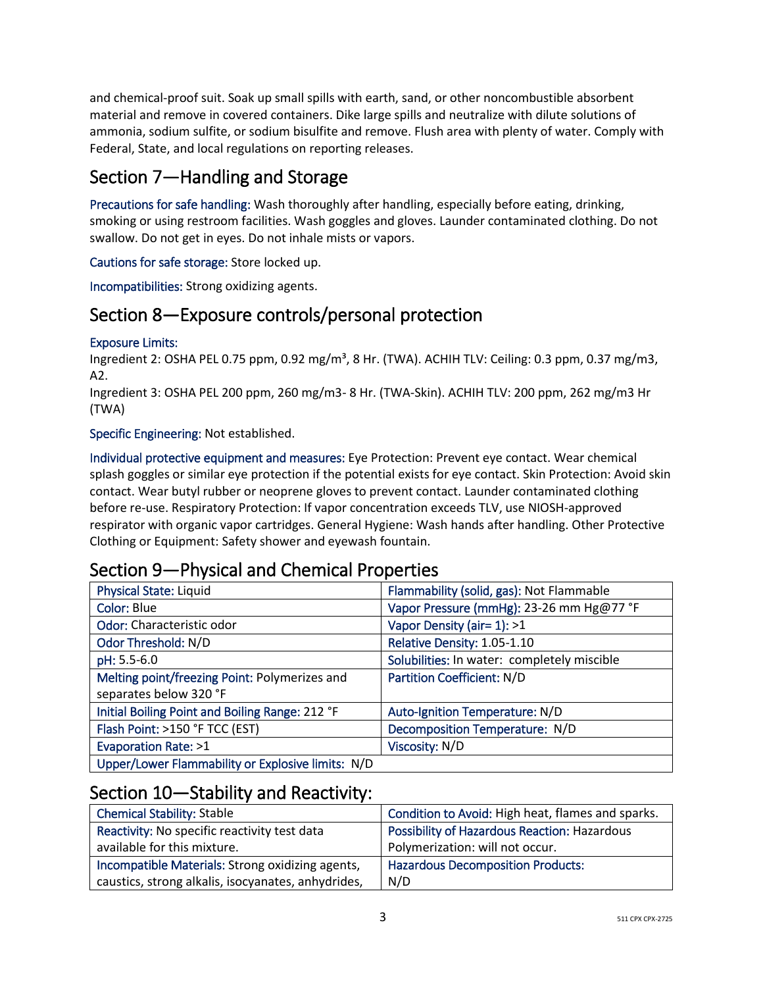and chemical-proof suit. Soak up small spills with earth, sand, or other noncombustible absorbent material and remove in covered containers. Dike large spills and neutralize with dilute solutions of ammonia, sodium sulfite, or sodium bisulfite and remove. Flush area with plenty of water. Comply with Federal, State, and local regulations on reporting releases.

# Section 7—Handling and Storage

Precautions for safe handling: Wash thoroughly after handling, especially before eating, drinking, smoking or using restroom facilities. Wash goggles and gloves. Launder contaminated clothing. Do not swallow. Do not get in eyes. Do not inhale mists or vapors.

Cautions for safe storage: Store locked up.

Incompatibilities: Strong oxidizing agents.

### Section 8—Exposure controls/personal protection

#### Exposure Limits:

Ingredient 2: OSHA PEL 0.75 ppm, 0.92 mg/m<sup>3</sup>, 8 Hr. (TWA). ACHIH TLV: Ceiling: 0.3 ppm, 0.37 mg/m3, A2.

Ingredient 3: OSHA PEL 200 ppm, 260 mg/m3- 8 Hr. (TWA-Skin). ACHIH TLV: 200 ppm, 262 mg/m3 Hr (TWA)

Specific Engineering: Not established.

Individual protective equipment and measures: Eye Protection: Prevent eye contact. Wear chemical splash goggles or similar eye protection if the potential exists for eye contact. Skin Protection: Avoid skin contact. Wear butyl rubber or neoprene gloves to prevent contact. Launder contaminated clothing before re-use. Respiratory Protection: If vapor concentration exceeds TLV, use NIOSH-approved respirator with organic vapor cartridges. General Hygiene: Wash hands after handling. Other Protective Clothing or Equipment: Safety shower and eyewash fountain.

### Section 9—Physical and Chemical Properties

| <b>Physical State: Liquid</b>                     | Flammability (solid, gas): Not Flammable    |
|---------------------------------------------------|---------------------------------------------|
| Color: Blue                                       | Vapor Pressure (mmHg): 23-26 mm Hg@77 °F    |
| Odor: Characteristic odor                         | Vapor Density (air= 1): >1                  |
| Odor Threshold: N/D                               | Relative Density: 1.05-1.10                 |
| pH: 5.5-6.0                                       | Solubilities: In water: completely miscible |
| Melting point/freezing Point: Polymerizes and     | <b>Partition Coefficient: N/D</b>           |
| separates below 320 °F                            |                                             |
| Initial Boiling Point and Boiling Range: 212 °F   | Auto-Ignition Temperature: N/D              |
| Flash Point: >150 °F TCC (EST)                    | Decomposition Temperature: N/D              |
| <b>Evaporation Rate: &gt;1</b>                    | Viscosity: N/D                              |
| Upper/Lower Flammability or Explosive limits: N/D |                                             |

### Section 10—Stability and Reactivity:

| <b>Chemical Stability: Stable</b>                  | Condition to Avoid: High heat, flames and sparks.   |
|----------------------------------------------------|-----------------------------------------------------|
| Reactivity: No specific reactivity test data       | <b>Possibility of Hazardous Reaction: Hazardous</b> |
| available for this mixture.                        | Polymerization: will not occur.                     |
| Incompatible Materials: Strong oxidizing agents,   | <b>Hazardous Decomposition Products:</b>            |
| caustics, strong alkalis, isocyanates, anhydrides, | N/D                                                 |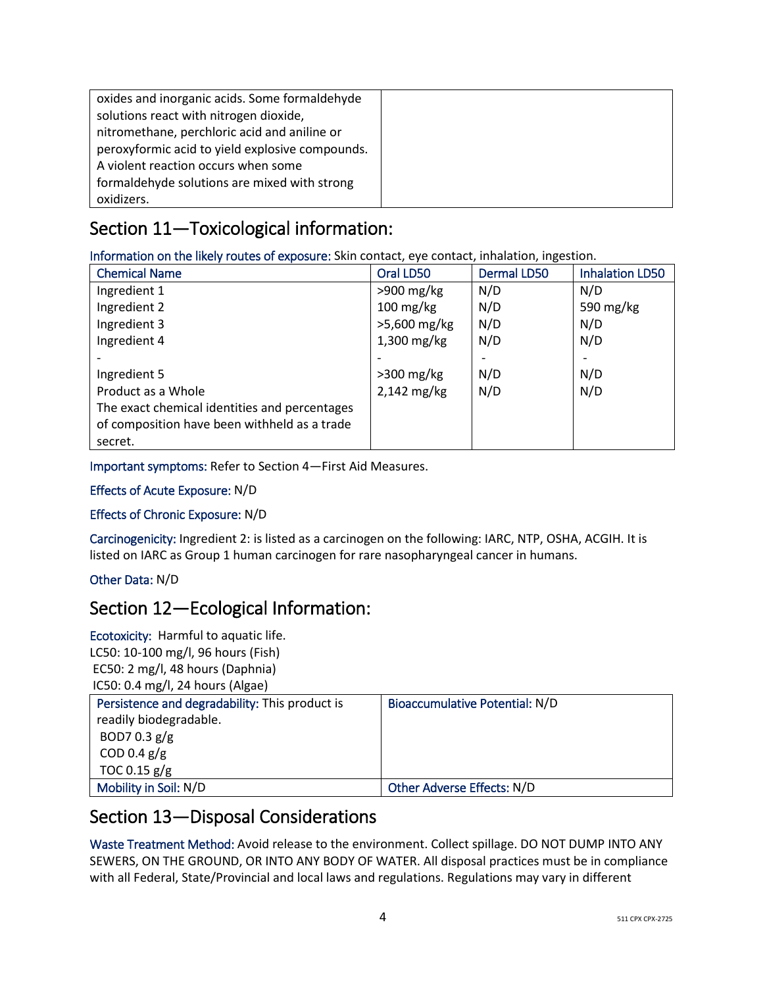| oxides and inorganic acids. Some formaldehyde   |  |
|-------------------------------------------------|--|
| solutions react with nitrogen dioxide,          |  |
| nitromethane, perchloric acid and aniline or    |  |
| peroxyformic acid to yield explosive compounds. |  |
| A violent reaction occurs when some             |  |
| formaldehyde solutions are mixed with strong    |  |
| oxidizers.                                      |  |

# Section 11—Toxicological information:

Information on the likely routes of exposure: Skin contact, eye contact, inhalation, ingestion.

| <b>Chemical Name</b>                          | Oral LD50           | <b>Dermal LD50</b> | <b>Inhalation LD50</b> |
|-----------------------------------------------|---------------------|--------------------|------------------------|
| Ingredient 1                                  | $>900$ mg/kg        | N/D                | N/D                    |
| Ingredient 2                                  | $100 \text{ mg/kg}$ | N/D                | 590 mg/kg              |
| Ingredient 3                                  | >5,600 mg/kg        | N/D                | N/D                    |
| Ingredient 4                                  | $1,300$ mg/kg       | N/D                | N/D                    |
|                                               |                     |                    |                        |
| Ingredient 5                                  | $>300$ mg/kg        | N/D                | N/D                    |
| Product as a Whole                            | 2,142 mg/kg         | N/D                | N/D                    |
| The exact chemical identities and percentages |                     |                    |                        |
| of composition have been withheld as a trade  |                     |                    |                        |
| secret.                                       |                     |                    |                        |

Important symptoms: Refer to Section 4—First Aid Measures.

#### Effects of Acute Exposure: N/D

#### Effects of Chronic Exposure: N/D

Carcinogenicity: Ingredient 2: is listed as a carcinogen on the following: IARC, NTP, OSHA, ACGIH. It is listed on IARC as Group 1 human carcinogen for rare nasopharyngeal cancer in humans.

#### Other Data: N/D

### Section 12—Ecological Information:

Ecotoxicity: Harmful to aquatic life. LC50: 10-100 mg/l, 96 hours (Fish) EC50: 2 mg/l, 48 hours (Daphnia) IC50: 0.4 mg/l, 24 hours (Algae)

| Persistence and degradability: This product is | Bioaccumulative Potential: N/D |
|------------------------------------------------|--------------------------------|
| readily biodegradable.                         |                                |
| BOD7 0.3 $g/g$                                 |                                |
| COD 0.4 $g/g$                                  |                                |
| TOC 0.15 $g/g$                                 |                                |
| Mobility in Soil: N/D                          | Other Adverse Effects: N/D     |

### Section 13—Disposal Considerations

Waste Treatment Method: Avoid release to the environment. Collect spillage. DO NOT DUMP INTO ANY SEWERS, ON THE GROUND, OR INTO ANY BODY OF WATER. All disposal practices must be in compliance with all Federal, State/Provincial and local laws and regulations. Regulations may vary in different